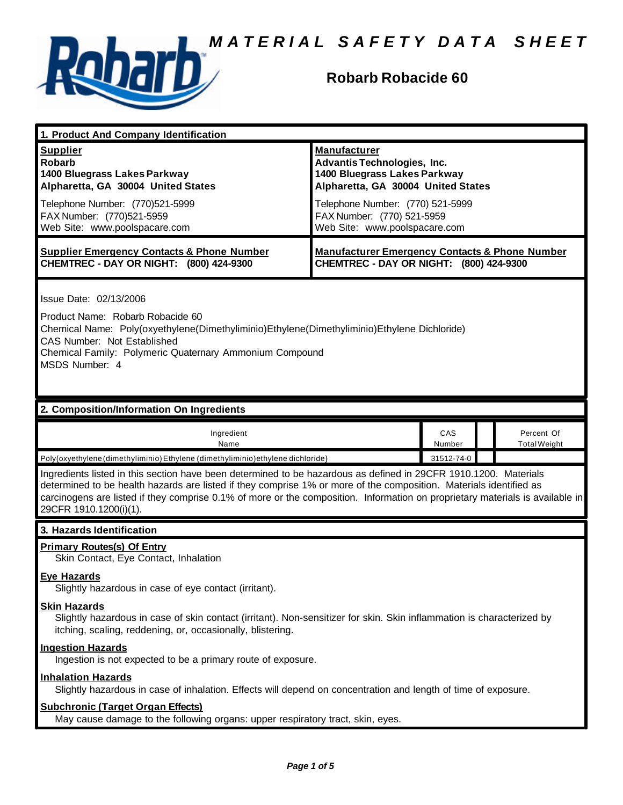

# **Robarb Robacide 60**

| 1. Product And Company Identification                                                                                                                                                                                                                                                                                                                                                             |                                                                                                                                                                                                                             |               |                                   |  |
|---------------------------------------------------------------------------------------------------------------------------------------------------------------------------------------------------------------------------------------------------------------------------------------------------------------------------------------------------------------------------------------------------|-----------------------------------------------------------------------------------------------------------------------------------------------------------------------------------------------------------------------------|---------------|-----------------------------------|--|
| <b>Supplier</b><br><b>Robarb</b><br>1400 Bluegrass Lakes Parkway<br>Alpharetta, GA 30004 United States<br>Telephone Number: (770)521-5999<br>FAX Number: (770)521-5959<br>Web Site: www.poolspacare.com                                                                                                                                                                                           | <b>Manufacturer</b><br>Advantis Technologies, Inc.<br>1400 Bluegrass Lakes Parkway<br>Alpharetta, GA 30004 United States<br>Telephone Number: (770) 521-5999<br>FAX Number: (770) 521-5959<br>Web Site: www.poolspacare.com |               |                                   |  |
| <b>Supplier Emergency Contacts &amp; Phone Number</b><br>CHEMTREC - DAY OR NIGHT: (800) 424-9300                                                                                                                                                                                                                                                                                                  | <b>Manufacturer Emergency Contacts &amp; Phone Number</b><br>CHEMTREC - DAY OR NIGHT: (800) 424-9300                                                                                                                        |               |                                   |  |
| Issue Date: 02/13/2006<br>Product Name: Robarb Robacide 60<br>Chemical Name: Poly(oxyethylene(Dimethyliminio)Ethylene(Dimethyliminio)Ethylene Dichloride)<br>CAS Number: Not Established<br>Chemical Family: Polymeric Quaternary Ammonium Compound<br>MSDS Number: 4                                                                                                                             |                                                                                                                                                                                                                             |               |                                   |  |
| 2. Composition/Information On Ingredients                                                                                                                                                                                                                                                                                                                                                         |                                                                                                                                                                                                                             |               |                                   |  |
| Ingredient<br>Name                                                                                                                                                                                                                                                                                                                                                                                |                                                                                                                                                                                                                             | CAS<br>Number | Percent Of<br><b>Total Weight</b> |  |
|                                                                                                                                                                                                                                                                                                                                                                                                   | 31512-74-0<br>Poly{oxyethylene (dimethyliminio) Ethylene (dimethyliminio) ethylene dichloride}                                                                                                                              |               |                                   |  |
| Ingredients listed in this section have been determined to be hazardous as defined in 29CFR 1910.1200. Materials<br>determined to be health hazards are listed if they comprise 1% or more of the composition. Materials identified as<br>carcinogens are listed if they comprise 0.1% of more or the composition. Information on proprietary materials is available in<br>29CFR 1910.1200(i)(1). |                                                                                                                                                                                                                             |               |                                   |  |
| 3. Hazards Identification                                                                                                                                                                                                                                                                                                                                                                         |                                                                                                                                                                                                                             |               |                                   |  |
| <b>Primary Routes(s) Of Entry</b><br>Skin Contact, Eye Contact, Inhalation<br><b>Eye Hazards</b><br>Slightly hazardous in case of eye contact (irritant).                                                                                                                                                                                                                                         |                                                                                                                                                                                                                             |               |                                   |  |
| <b>Skin Hazards</b><br>Slightly hazardous in case of skin contact (irritant). Non-sensitizer for skin. Skin inflammation is characterized by<br>itching, scaling, reddening, or, occasionally, blistering.                                                                                                                                                                                        |                                                                                                                                                                                                                             |               |                                   |  |
| <b>Ingestion Hazards</b>                                                                                                                                                                                                                                                                                                                                                                          |                                                                                                                                                                                                                             |               |                                   |  |
| Ingestion is not expected to be a primary route of exposure.                                                                                                                                                                                                                                                                                                                                      |                                                                                                                                                                                                                             |               |                                   |  |
| <b>Inhalation Hazards</b><br>Slightly hazardous in case of inhalation. Effects will depend on concentration and length of time of exposure.                                                                                                                                                                                                                                                       |                                                                                                                                                                                                                             |               |                                   |  |
|                                                                                                                                                                                                                                                                                                                                                                                                   |                                                                                                                                                                                                                             |               |                                   |  |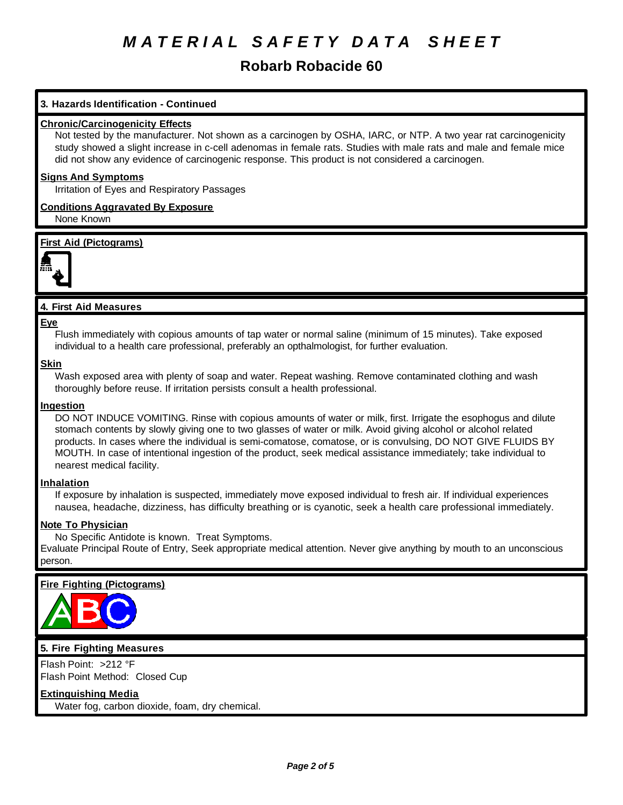# **Robarb Robacide 60**

# **3. Hazards Identification - Continued**

## **Chronic/Carcinogenicity Effects**

Not tested by the manufacturer. Not shown as a carcinogen by OSHA, IARC, or NTP. A two year rat carcinogenicity study showed a slight increase in c-cell adenomas in female rats. Studies with male rats and male and female mice did not show any evidence of carcinogenic response. This product is not considered a carcinogen.

#### **Signs And Symptoms**

Irritation of Eyes and Respiratory Passages

# **Conditions Aggravated By Exposure**

None Known

**First Aid (Pictograms)**



# **4. First Aid Measures**

#### **Eye**

Flush immediately with copious amounts of tap water or normal saline (minimum of 15 minutes). Take exposed individual to a health care professional, preferably an opthalmologist, for further evaluation.

#### **Skin**

Wash exposed area with plenty of soap and water. Repeat washing. Remove contaminated clothing and wash thoroughly before reuse. If irritation persists consult a health professional.

#### **Ingestion**

DO NOT INDUCE VOMITING. Rinse with copious amounts of water or milk, first. Irrigate the esophogus and dilute stomach contents by slowly giving one to two glasses of water or milk. Avoid giving alcohol or alcohol related products. In cases where the individual is semi-comatose, comatose, or is convulsing, DO NOT GIVE FLUIDS BY MOUTH. In case of intentional ingestion of the product, seek medical assistance immediately; take individual to nearest medical facility.

#### **Inhalation**

If exposure by inhalation is suspected, immediately move exposed individual to fresh air. If individual experiences nausea, headache, dizziness, has difficulty breathing or is cyanotic, seek a health care professional immediately.

# **Note To Physician**

No Specific Antidote is known. Treat Symptoms.

Evaluate Principal Route of Entry, Seek appropriate medical attention. Never give anything by mouth to an unconscious person.

# **Fire Fighting (Pictograms)**



# **5. Fire Fighting Measures**

Flash Point: >212 °F Flash Point Method: Closed Cup

# **Extinguishing Media**

Water fog, carbon dioxide, foam, dry chemical.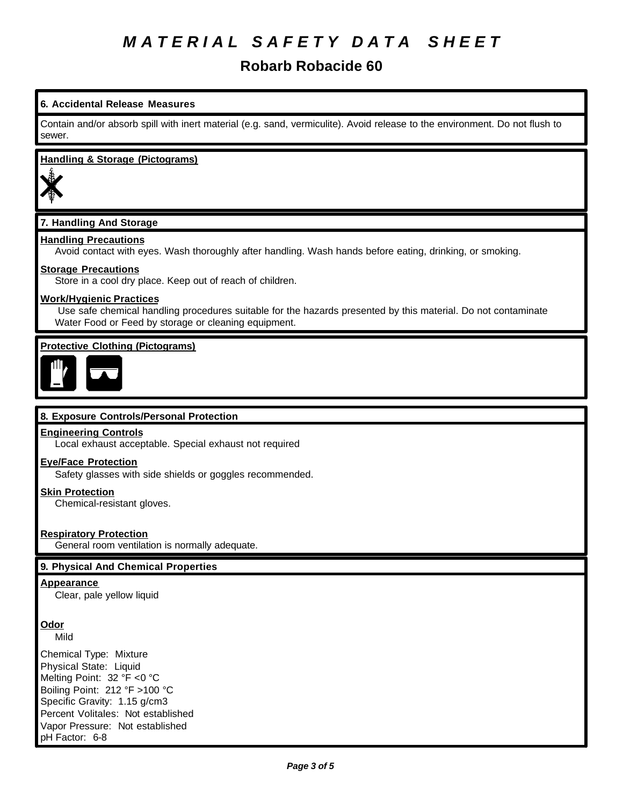# **Robarb Robacide 60**

# **6. Accidental Release Measures**

Contain and/or absorb spill with inert material (e.g. sand, vermiculite). Avoid release to the environment. Do not flush to sewer.

#### **Handling & Storage (Pictograms)**



# **7. Handling And Storage**

### **Handling Precautions**

Avoid contact with eyes. Wash thoroughly after handling. Wash hands before eating, drinking, or smoking.

#### **Storage Precautions**

Store in a cool dry place. Keep out of reach of children.

#### **Work/Hygienic Practices**

 Use safe chemical handling procedures suitable for the hazards presented by this material. Do not contaminate Water Food or Feed by storage or cleaning equipment.

### **Protective Clothing (Pictograms)**



#### **8. Exposure Controls/Personal Protection**

#### **Engineering Controls**

Local exhaust acceptable. Special exhaust not required

#### **Eye/Face Protection**

Safety glasses with side shields or goggles recommended.

#### **Skin Protection**

Chemical-resistant gloves.

#### **Respiratory Protection**

General room ventilation is normally adequate.

#### **9. Physical And Chemical Properties**

#### **Appearance**

Clear, pale yellow liquid

# **Odor**

Mild

Chemical Type: Mixture Physical State: Liquid Melting Point: 32 °F <0 °C Boiling Point: 212 °F >100 °C Specific Gravity: 1.15 g/cm3 Percent Volitales: Not established Vapor Pressure: Not established pH Factor: 6-8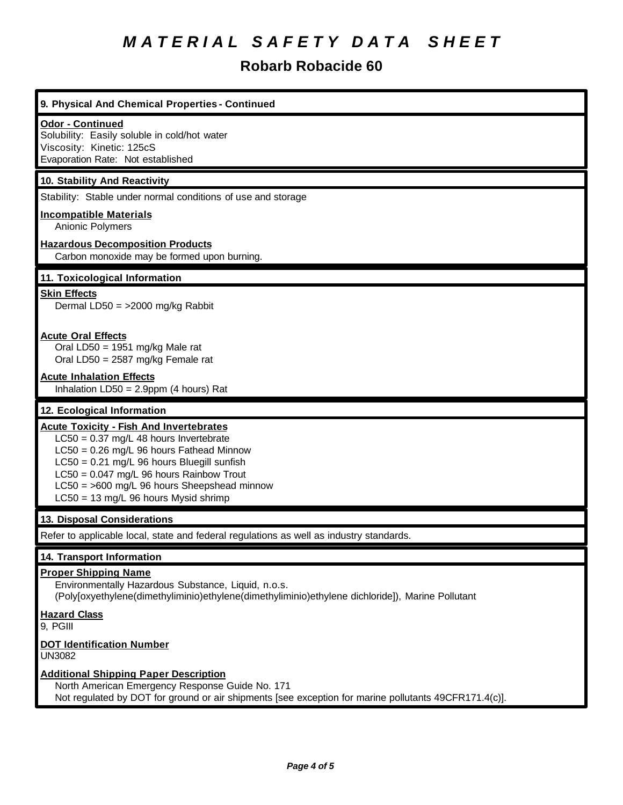# **Robarb Robacide 60**

# **9. Physical And Chemical Properties - Continued**

#### **Odor - Continued**

Solubility: Easily soluble in cold/hot water Viscosity: Kinetic: 125cS Evaporation Rate: Not established

#### **10. Stability And Reactivity**

Stability: Stable under normal conditions of use and storage

#### **Incompatible Materials**

Anionic Polymers

#### **Hazardous Decomposition Products**

Carbon monoxide may be formed upon burning.

#### **11. Toxicological Information**

#### **Skin Effects**

Dermal LD50 = >2000 mg/kg Rabbit

#### **Acute Oral Effects**

Oral LD50 = 1951 mg/kg Male rat Oral LD50 = 2587 mg/kg Female rat

#### **Acute Inhalation Effects**

Inhalation  $LD50 = 2.9$ ppm (4 hours) Rat

#### **12. Ecological Information**

#### **Acute Toxicity - Fish And Invertebrates**

LC50 = 0.37 mg/L 48 hours Invertebrate

LC50 = 0.26 mg/L 96 hours Fathead Minnow

LC50 = 0.21 mg/L 96 hours Bluegill sunfish

LC50 = 0.047 mg/L 96 hours Rainbow Trout

- LC50 = >600 mg/L 96 hours Sheepshead minnow
- LC50 = 13 mg/L 96 hours Mysid shrimp

#### **13. Disposal Considerations**

Refer to applicable local, state and federal regulations as well as industry standards.

#### **14. Transport Information**

#### **Proper Shipping Name**

Environmentally Hazardous Substance, Liquid, n.o.s. (Poly[oxyethylene(dimethyliminio)ethylene(dimethyliminio)ethylene dichloride]), Marine Pollutant

### **Hazard Class**

9, PGIII

#### **DOT Identification Number**

UN3082

#### **Additional Shipping Paper Description**

North American Emergency Response Guide No. 171 Not regulated by DOT for ground or air shipments [see exception for marine pollutants 49CFR171.4(c)].